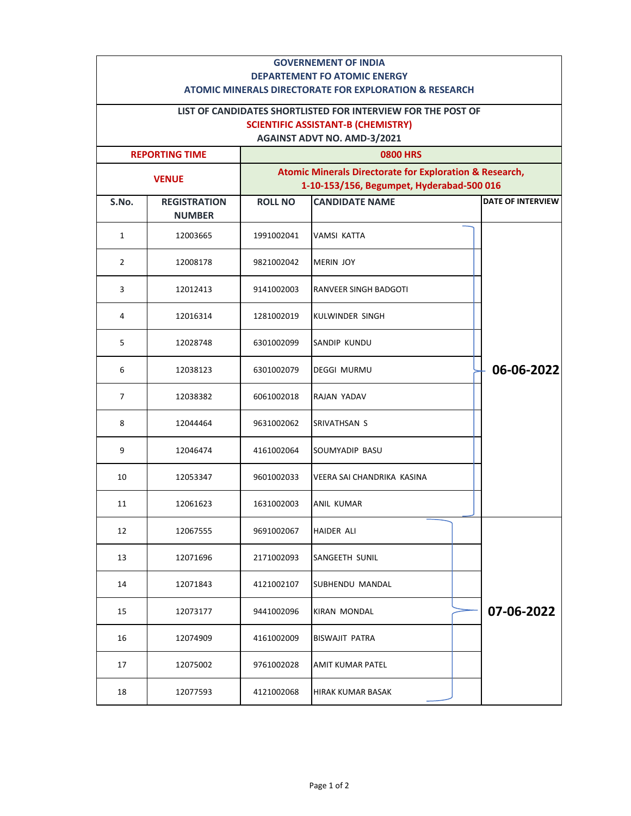| <b>GOVERNEMENT OF INDIA</b><br><b>DEPARTEMENT FO ATOMIC ENERGY</b><br><b>ATOMIC MINERALS DIRECTORATE FOR EXPLORATION &amp; RESEARCH</b>         |                                      |                                                                                                                 |                            |  |                          |  |  |  |
|-------------------------------------------------------------------------------------------------------------------------------------------------|--------------------------------------|-----------------------------------------------------------------------------------------------------------------|----------------------------|--|--------------------------|--|--|--|
| LIST OF CANDIDATES SHORTLISTED FOR INTERVIEW FOR THE POST OF<br><b>SCIENTIFIC ASSISTANT-B (CHEMISTRY)</b><br><b>AGAINST ADVT NO. AMD-3/2021</b> |                                      |                                                                                                                 |                            |  |                          |  |  |  |
| <b>REPORTING TIME</b>                                                                                                                           |                                      | <b>0800 HRS</b>                                                                                                 |                            |  |                          |  |  |  |
| <b>VENUE</b>                                                                                                                                    |                                      | <b>Atomic Minerals Directorate for Exploration &amp; Research,</b><br>1-10-153/156, Begumpet, Hyderabad-500 016 |                            |  |                          |  |  |  |
| S.No.                                                                                                                                           | <b>REGISTRATION</b><br><b>NUMBER</b> | <b>ROLL NO</b>                                                                                                  | <b>CANDIDATE NAME</b>      |  | <b>DATE OF INTERVIEW</b> |  |  |  |
| 1                                                                                                                                               | 12003665                             | 1991002041                                                                                                      | <b>VAMSI KATTA</b>         |  |                          |  |  |  |
| 2                                                                                                                                               | 12008178                             | 9821002042                                                                                                      | <b>MERIN JOY</b>           |  |                          |  |  |  |
| 3                                                                                                                                               | 12012413                             | 9141002003                                                                                                      | RANVEER SINGH BADGOTI      |  |                          |  |  |  |
| 4                                                                                                                                               | 12016314                             | 1281002019                                                                                                      | <b>KULWINDER SINGH</b>     |  |                          |  |  |  |
| 5                                                                                                                                               | 12028748                             | 6301002099                                                                                                      | SANDIP KUNDU               |  |                          |  |  |  |
| 6                                                                                                                                               | 12038123                             | 6301002079                                                                                                      | <b>DEGGI MURMU</b>         |  | 06-06-2022               |  |  |  |
| $\overline{7}$                                                                                                                                  | 12038382                             | 6061002018                                                                                                      | RAJAN YADAV                |  |                          |  |  |  |
| 8                                                                                                                                               | 12044464                             | 9631002062                                                                                                      | SRIVATHSAN S               |  |                          |  |  |  |
| 9                                                                                                                                               | 12046474                             | 4161002064                                                                                                      | SOUMYADIP BASU             |  |                          |  |  |  |
| 10                                                                                                                                              | 12053347                             | 9601002033                                                                                                      | VEERA SAI CHANDRIKA KASINA |  |                          |  |  |  |
| 11                                                                                                                                              | 12061623                             | 1631002003                                                                                                      | ANIL KUMAR                 |  |                          |  |  |  |
| 12                                                                                                                                              | 12067555                             | 9691002067                                                                                                      | HAIDER ALI                 |  |                          |  |  |  |
| 13                                                                                                                                              | 12071696                             | 2171002093                                                                                                      | SANGEETH SUNIL             |  |                          |  |  |  |
| 14                                                                                                                                              | 12071843                             | 4121002107                                                                                                      | SUBHENDU MANDAL            |  |                          |  |  |  |
| 15                                                                                                                                              | 12073177                             | 9441002096                                                                                                      | KIRAN MONDAL               |  | 07-06-2022               |  |  |  |
| 16                                                                                                                                              | 12074909                             | 4161002009                                                                                                      | BISWAJIT PATRA             |  |                          |  |  |  |
| 17                                                                                                                                              | 12075002                             | 9761002028                                                                                                      | AMIT KUMAR PATEL           |  |                          |  |  |  |
| 18                                                                                                                                              | 12077593                             | 4121002068                                                                                                      | HIRAK KUMAR BASAK          |  |                          |  |  |  |